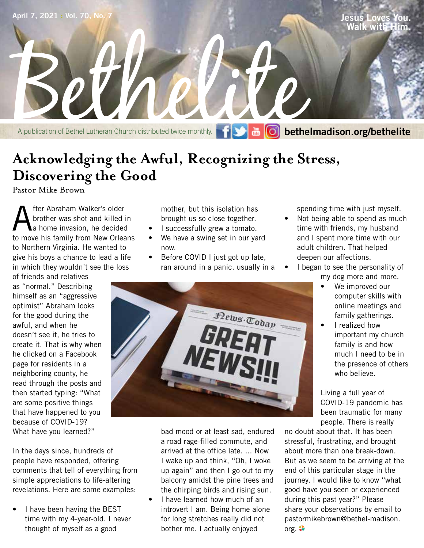

# **Acknowledging the Awful, Recognizing the Stress, Discovering the Good**

Pastor Mike Brown

**A** fter Abraham Walker's older<br>a home invasion, he decided<br>to move his family from New Orlean brother was shot and killed in to move his family from New Orleans to Northern Virginia. He wanted to give his boys a chance to lead a life in which they wouldn't see the loss

of friends and relatives as "normal." Describing himself as an "aggressive optimist" Abraham looks for the good during the awful, and when he doesn't see it, he tries to create it. That is why when he clicked on a Facebook page for residents in a neighboring county, he read through the posts and then started typing: "What are some positive things that have happened to you because of COVID-19? What have you learned?"

In the days since, hundreds of people have responded, offering comments that tell of everything from simple appreciations to life-altering revelations. Here are some examples:

• I have been having the BEST time with my 4-year-old. I never thought of myself as a good

mother, but this isolation has brought us so close together.

- I successfully grew a tomato.
- We have a swing set in our yard now.
- Before COVID I just got up late, ran around in a panic, usually in a

spending time with just myself.

- Not being able to spend as much time with friends, my husband and I spent more time with our adult children. That helped deepen our affections.
- I began to see the personality of my dog more and more.
	- We improved our computer skills with online meetings and family gatherings.
	- I realized how important my church family is and how much I need to be in the presence of others who believe.

Living a full year of COVID-19 pandemic has been traumatic for many people. There is really

no doubt about that. It has been stressful, frustrating, and brought about more than one break-down. But as we seem to be arriving at the end of this particular stage in the journey, I would like to know "what good have you seen or experienced during this past year?" Please share your observations by email to pastormikebrown@bethel-madison. org.



bad mood or at least sad, endured a road rage-filled commute, and arrived at the office late. ... Now I wake up and think, "Oh, I woke up again" and then I go out to my balcony amidst the pine trees and the chirping birds and rising sun.

I have learned how much of an introvert I am. Being home alone for long stretches really did not bother me. I actually enjoyed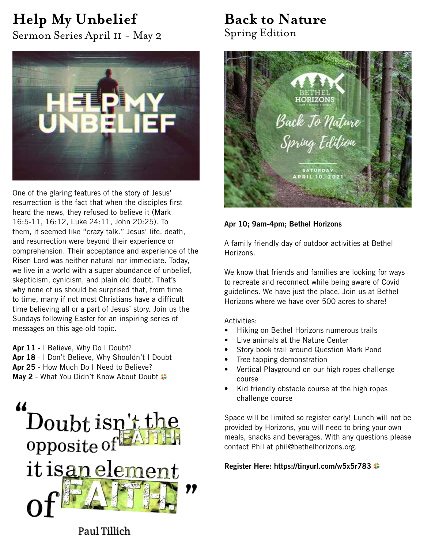# **Help My Unbelief**

Sermon Series April 11 - May 2



One of the glaring features of the story of Jesus' resurrection is the fact that when the disciples first heard the news, they refused to believe it (Mark 16:5-11, 16:12, Luke 24:11, John 20:25). To them, it seemed like "crazy talk." Jesus' life, death, and resurrection were beyond their experience or comprehension. Their acceptance and experience of the Risen Lord was neither natural nor immediate. Today, we live in a world with a super abundance of unbelief, skepticism, cynicism, and plain old doubt. That's why none of us should be surprised that, from time to time, many if not most Christians have a difficult time believing all or a part of Jesus' story. Join us the Sundays following Easter for an inspiring series of messages on this age-old topic.

**Apr 11 -** I Believe, Why Do I Doubt? **Apr 18** - I Don't Believe, Why Shouldn't I Doubt **Apr 25 -** How Much Do I Need to Believe? **May 2** - What You Didn't Know About Doubt



## **Back to Nature** Spring Edition



## **Apr 10; 9am-4pm; Bethel Horizons**

A family friendly day of outdoor activities at Bethel Horizons.

We know that friends and families are looking for ways to recreate and reconnect while being aware of Covid guidelines. We have just the place. Join us at Bethel Horizons where we have over 500 acres to share!

Activities:

- Hiking on Bethel Horizons numerous trails
- Live animals at the Nature Center
- Story book trail around Question Mark Pond
- Tree tapping demonstration
- Vertical Playground on our high ropes challenge course
- Kid friendly obstacle course at the high ropes challenge course

Space will be limited so register early! Lunch will not be provided by Horizons, you will need to bring your own meals, snacks and beverages. With any questions please contact Phil at phil@bethelhorizons.org.

**Register Here: https://tinyurl.com/w5x5r783**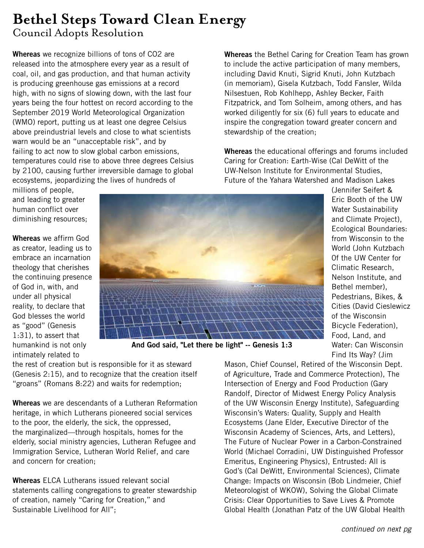## **Bethel Steps Toward Clean Energy** Council Adopts Resolution

**Whereas** we recognize billions of tons of CO2 are released into the atmosphere every year as a result of coal, oil, and gas production, and that human activity is producing greenhouse gas emissions at a record high, with no signs of slowing down, with the last four years being the four hottest on record according to the September 2019 World Meteorological Organization (WMO) report, putting us at least one degree Celsius above preindustrial levels and close to what scientists warn would be an "unacceptable risk", and by failing to act now to slow global carbon emissions, temperatures could rise to above three degrees Celsius by 2100, causing further irreversible damage to global ecosystems, jeopardizing the lives of hundreds of

**Whereas** the Bethel Caring for Creation Team has grown to include the active participation of many members, including David Knuti, Sigrid Knuti, John Kutzbach (in memoriam), Gisela Kutzbach, Todd Fansler, Wilda Nilsestuen, Rob Kohlhepp, Ashley Becker, Faith Fitzpatrick, and Tom Solheim, among others, and has worked diligently for six (6) full years to educate and inspire the congregation toward greater concern and stewardship of the creation;

**Whereas** the educational offerings and forums included Caring for Creation: Earth-Wise (Cal DeWitt of the UW-Nelson Institute for Environmental Studies, Future of the Yahara Watershed and Madison Lakes

> (Jennifer Seifert & Eric Booth of the UW Water Sustainability and Climate Project), Ecological Boundaries: from Wisconsin to the World (John Kutzbach 0f the UW Center for Climatic Research, Nelson Institute, and Bethel member), Pedestrians, Bikes, & Cities (David Cieslewicz

of the Wisconsin Bicycle Federation), Food, Land, and Water: Can Wisconsin

millions of people, and leading to greater human conflict over diminishing resources;

**Whereas** we affirm God as creator, leading us to embrace an incarnation theology that cherishes the continuing presence of God in, with, and under all physical reality, to declare that God blesses the world as "good" (Genesis 1:31), to assert that humankind is not only intimately related to



**And God said, "Let there be light" -- Genesis 1:3**

the rest of creation but is responsible for it as steward (Genesis 2:15), and to recognize that the creation itself "groans" (Romans 8:22) and waits for redemption;

**Whereas** we are descendants of a Lutheran Reformation heritage, in which Lutherans pioneered social services to the poor, the elderly, the sick, the oppressed, the marginalized—through hospitals, homes for the elderly, social ministry agencies, Lutheran Refugee and Immigration Service, Lutheran World Relief, and care and concern for creation;

**Whereas** ELCA Lutherans issued relevant social statements calling congregations to greater stewardship of creation, namely "Caring for Creation," and Sustainable Livelihood for All";

Find Its Way? (Jim Mason, Chief Counsel, Retired of the Wisconsin Dept. of Agriculture, Trade and Commerce Protection), The Intersection of Energy and Food Production (Gary Randolf, Director of Midwest Energy Policy Analysis of the UW Wisconsin Energy Institute), Safeguarding Wisconsin's Waters: Quality, Supply and Health Ecosystems (Jane Elder, Executive Director of the Wisconsin Academy of Sciences, Arts, and Letters), The Future of Nuclear Power in a Carbon-Constrained World (Michael Corradini, UW Distinguished Professor Emeritus, Engineering Physics), Entrusted: All is God's (Cal DeWitt, Environmental Sciences), Climate Change: Impacts on Wisconsin (Bob Lindmeier, Chief Meteorologist of WKOW), Solving the Global Climate Crisis: Clear Opportunities to Save Lives & Promote Global Health (Jonathan Patz of the UW Global Health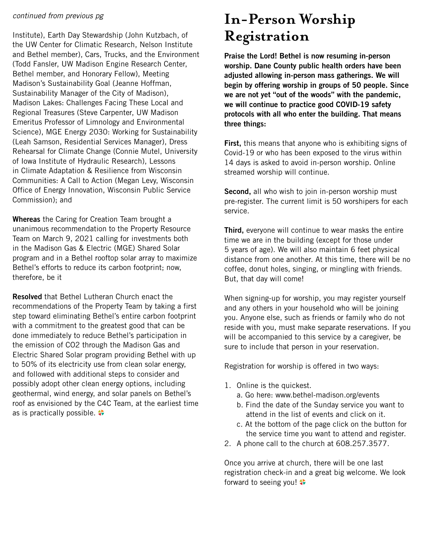### *continued from previous pg*

Institute), Earth Day Stewardship (John Kutzbach, of the UW Center for Climatic Research, Nelson Institute and Bethel member), Cars, Trucks, and the Environment (Todd Fansler, UW Madison Engine Research Center, Bethel member, and Honorary Fellow), Meeting Madison's Sustainability Goal (Jeanne Hoffman, Sustainability Manager of the City of Madison), Madison Lakes: Challenges Facing These Local and Regional Treasures (Steve Carpenter, UW Madison Emeritus Professor of Limnology and Environmental Science), MGE Energy 2030: Working for Sustainability (Leah Samson, Residential Services Manager), Dress Rehearsal for Climate Change (Connie Mutel, University of Iowa Institute of Hydraulic Research), Lessons in Climate Adaptation & Resilience from Wisconsin Communities: A Call to Action (Megan Levy, Wisconsin Office of Energy Innovation, Wisconsin Public Service Commission); and

**Whereas** the Caring for Creation Team brought a unanimous recommendation to the Property Resource Team on March 9, 2021 calling for investments both in the Madison Gas & Electric (MGE) Shared Solar program and in a Bethel rooftop solar array to maximize Bethel's efforts to reduce its carbon footprint; now, therefore, be it

**Resolved** that Bethel Lutheran Church enact the recommendations of the Property Team by taking a first step toward eliminating Bethel's entire carbon footprint with a commitment to the greatest good that can be done immediately to reduce Bethel's participation in the emission of CO2 through the Madison Gas and Electric Shared Solar program providing Bethel with up to 50% of its electricity use from clean solar energy, and followed with additional steps to consider and possibly adopt other clean energy options, including geothermal, wind energy, and solar panels on Bethel's roof as envisioned by the C4C Team, at the earliest time as is practically possible.  $\bullet$ 

## **In-Person Worship Registration**

**Praise the Lord! Bethel is now resuming in-person worship. Dane County public health orders have been adjusted allowing in-person mass gatherings. We will begin by offering worship in groups of 50 people. Since we are not yet "out of the woods" with the pandemic, we will continue to practice good COVID-19 safety protocols with all who enter the building. That means three things:**

**First,** this means that anyone who is exhibiting signs of Covid-19 or who has been exposed to the virus within 14 days is asked to avoid in-person worship. Online streamed worship will continue.

**Second,** all who wish to join in-person worship must pre-register. The current limit is 50 worshipers for each service.

**Third,** everyone will continue to wear masks the entire time we are in the building (except for those under 5 years of age). We will also maintain 6 feet physical distance from one another. At this time, there will be no coffee, donut holes, singing, or mingling with friends. But, that day will come!

When signing-up for worship, you may register yourself and any others in your household who will be joining you. Anyone else, such as friends or family who do not reside with you, must make separate reservations. If you will be accompanied to this service by a caregiver, be sure to include that person in your reservation.

Registration for worship is offered in two ways:

- 1. Online is the quickest.
	- a. Go here: www.bethel-madison.org/events
	- b. Find the date of the Sunday service you want to attend in the list of events and click on it.
	- c. At the bottom of the page click on the button for the service time you want to attend and register.
- 2. A phone call to the church at 608.257.3577.

Once you arrive at church, there will be one last registration check-in and a great big welcome. We look forward to seeing you!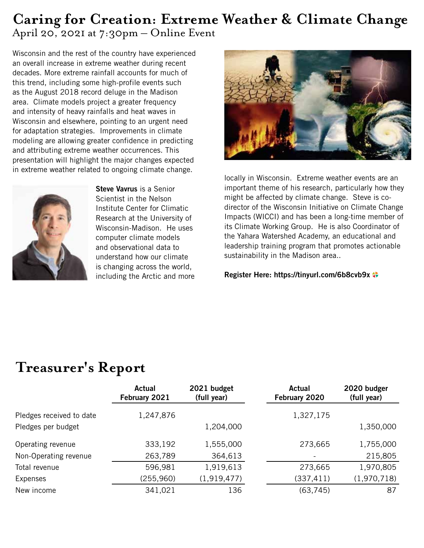## **Caring for Creation: Extreme Weather & Climate Change** April 20, 2021 at 7:30pm – Online Event

Wisconsin and the rest of the country have experienced an overall increase in extreme weather during recent decades. More extreme rainfall accounts for much of this trend, including some high-profile events such as the August 2018 record deluge in the Madison area. Climate models project a greater frequency and intensity of heavy rainfalls and heat waves in Wisconsin and elsewhere, pointing to an urgent need for adaptation strategies. Improvements in climate modeling are allowing greater confidence in predicting and attributing extreme weather occurrences. This presentation will highlight the major changes expected in extreme weather related to ongoing climate change.



**Steve Vavrus** is a Senior Scientist in the Nelson Institute Center for Climatic Research at the University of Wisconsin-Madison. He uses computer climate models and observational data to understand how our climate is changing across the world, including the Arctic and more



locally in Wisconsin. Extreme weather events are an important theme of his research, particularly how they might be affected by climate change. Steve is codirector of the Wisconsin Initiative on Climate Change Impacts (WICCI) and has been a long-time member of its Climate Working Group. He is also Coordinator of the Yahara Watershed Academy, an educational and leadership training program that promotes actionable sustainability in the Madison area..

**Register Here: https://tinyurl.com/6b8cvb9x**

## **Treasurer's Report**

|                          | Actual<br>February 2021 | 2021 budget<br>(full year) | Actual<br>February 2020 | 2020 budger<br>(full year) |
|--------------------------|-------------------------|----------------------------|-------------------------|----------------------------|
| Pledges received to date | 1,247,876               |                            | 1,327,175               |                            |
| Pledges per budget       |                         | 1,204,000                  |                         | 1,350,000                  |
| Operating revenue        | 333,192                 | 1,555,000                  | 273,665                 | 1,755,000                  |
| Non-Operating revenue    | 263,789                 | 364,613                    |                         | 215,805                    |
| Total revenue            | 596,981                 | 1,919,613                  | 273,665                 | 1,970,805                  |
| Expenses                 | (255, 960)              | (1,919,477)                | (337, 411)              | (1,970,718)                |
| New income               | 341,021                 | 136                        | (63, 745)               | 87                         |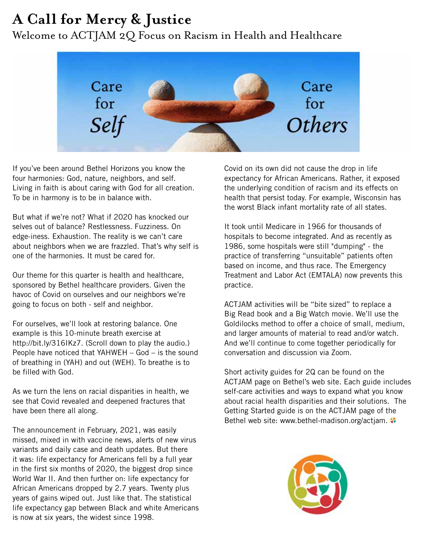# **A Call for Mercy & Justice**

Welcome to ACTJAM 2Q Focus on Racism in Health and Healthcare



If you've been around Bethel Horizons you know the four harmonies: God, nature, neighbors, and self. Living in faith is about caring with God for all creation. To be in harmony is to be in balance with.

But what if we're not? What if 2020 has knocked our selves out of balance? Restlessness. Fuzziness. On edge-iness. Exhaustion. The reality is we can't care about neighbors when we are frazzled. That's why self is one of the harmonies. It must be cared for.

Our theme for this quarter is health and healthcare, sponsored by Bethel healthcare providers. Given the havoc of Covid on ourselves and our neighbors we're going to focus on both - self and neighbor.

For ourselves, we'll look at restoring balance. One example is this 10-minute breath exercise at http://bit.ly/316IKz7. (Scroll down to play the audio.) People have noticed that YAHWEH – God – is the sound of breathing in (YAH) and out (WEH). To breathe is to be filled with God.

As we turn the lens on racial disparities in health, we see that Covid revealed and deepened fractures that have been there all along.

The announcement in February, 2021, was easily missed, mixed in with vaccine news, alerts of new virus variants and daily case and death updates. But there it was: life expectancy for Americans fell by a full year in the first six months of 2020, the biggest drop since World War II. And then further on: life expectancy for African Americans dropped by 2.7 years. Twenty plus years of gains wiped out. Just like that. The statistical life expectancy gap between Black and white Americans is now at six years, the widest since 1998.

Covid on its own did not cause the drop in life expectancy for African Americans. Rather, it exposed the underlying condition of racism and its effects on health that persist today. For example, Wisconsin has the worst Black infant mortality rate of all states.

It took until Medicare in 1966 for thousands of hospitals to become integrated. And as recently as 1986, some hospitals were still "dumping" - the practice of transferring "unsuitable" patients often based on income, and thus race. The Emergency Treatment and Labor Act (EMTALA) now prevents this practice.

ACTJAM activities will be "bite sized" to replace a Big Read book and a Big Watch movie. We'll use the Goldilocks method to offer a choice of small, medium, and larger amounts of material to read and/or watch. And we'll continue to come together periodically for conversation and discussion via Zoom.

Short activity guides for 2Q can be found on the ACTJAM page on Bethel's web site. Each guide includes self-care activities and ways to expand what you know about racial health disparities and their solutions. The Getting Started guide is on the ACTJAM page of the Bethel web site: www.bethel-madison.org/actiam.

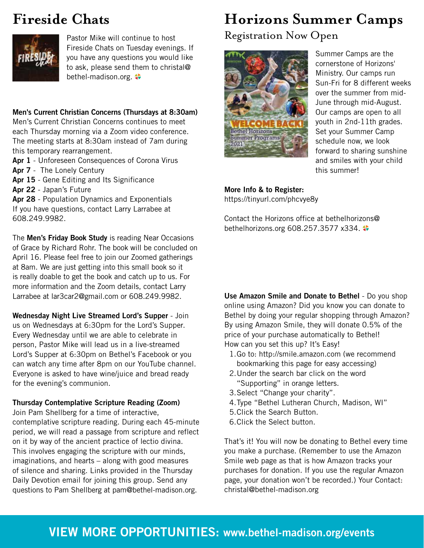# **Fireside Chats**



Pastor Mike will continue to host Fireside Chats on Tuesday evenings. If you have any questions you would like to ask, please send them to christal@ bethel-madison.org.  $\clubsuit$ 

**Men's Current Christian Concerns (Thursdays at 8:30am)** Men's Current Christian Concerns continues to meet each Thursday morning via a Zoom video conference. The meeting starts at 8:30am instead of 7am during this temporary rearrangement.

- **Apr 1**  Unforeseen Consequences of Corona Virus **Apr 7** - The Lonely Century
- **Apr 15** Gene Editing and Its Significance
- **Apr 22**  Japan's Future

**Apr 28** - Population Dynamics and Exponentials If you have questions, contact Larry Larrabee at 608.249.9982.

The **Men's Friday Book Study** is reading Near Occasions of Grace by Richard Rohr. The book will be concluded on April 16. Please feel free to join our Zoomed gatherings at 8am. We are just getting into this small book so it is really doable to get the book and catch up to us. For more information and the Zoom details, contact Larry Larrabee at lar3car2@gmail.com or 608.249.9982.

**Wednesday Night Live Streamed Lord's Supper** - Join us on Wednesdays at 6:30pm for the Lord's Supper. Every Wednesday until we are able to celebrate in person, Pastor Mike will lead us in a live-streamed Lord's Supper at 6:30pm on Bethel's Facebook or you can watch any time after 8pm on our YouTube channel. Everyone is asked to have wine/juice and bread ready for the evening's communion.

## **Thursday Contemplative Scripture Reading (Zoom)**

Join Pam Shellberg for a time of interactive, contemplative scripture reading. During each 45-minute period, we will read a passage from scripture and reflect on it by way of the ancient practice of lectio divina. This involves engaging the scripture with our minds, imaginations, and hearts – along with good measures of silence and sharing. Links provided in the Thursday Daily Devotion email for joining this group. Send any questions to Pam Shellberg at pam@bethel-madison.org.

# **Horizons Summer Camps**

Registration Now Open



Summer Camps are the cornerstone of Horizons' Ministry. Our camps run Sun-Fri for 8 different weeks over the summer from mid-June through mid-August. Our camps are open to all youth in 2nd-11th grades. Set your Summer Camp schedule now, we look forward to sharing sunshine and smiles with your child this summer!

## **More Info & to Register:**

https://tinyurl.com/phcvye8y

Contact the Horizons office at bethelhorizons@ bethelhorizons.org 608.257.3577 x334.

**Use Amazon Smile and Donate to Bethel** - Do you shop online using Amazon? Did you know you can donate to Bethel by doing your regular shopping through Amazon? By using Amazon Smile, they will donate 0.5% of the price of your purchase automatically to Bethel! How can you set this up? It's Easy!

- 1.Go to: http://smile.amazon.com (we recommend bookmarking this page for easy accessing)
- 2.Under the search bar click on the word "Supporting" in orange letters.
- 3.Select "Change your charity".
- 4.Type "Bethel Lutheran Church, Madison, WI"
- 5.Click the Search Button.
- 6.Click the Select button.

That's it! You will now be donating to Bethel every time you make a purchase. (Remember to use the Amazon Smile web page as that is how Amazon tracks your purchases for donation. If you use the regular Amazon page, your donation won't be recorded.) Your Contact: christal@bethel-madison.org

## **VIEW MORE OPPORTUNITIES: www.bethel-madison.org/events**